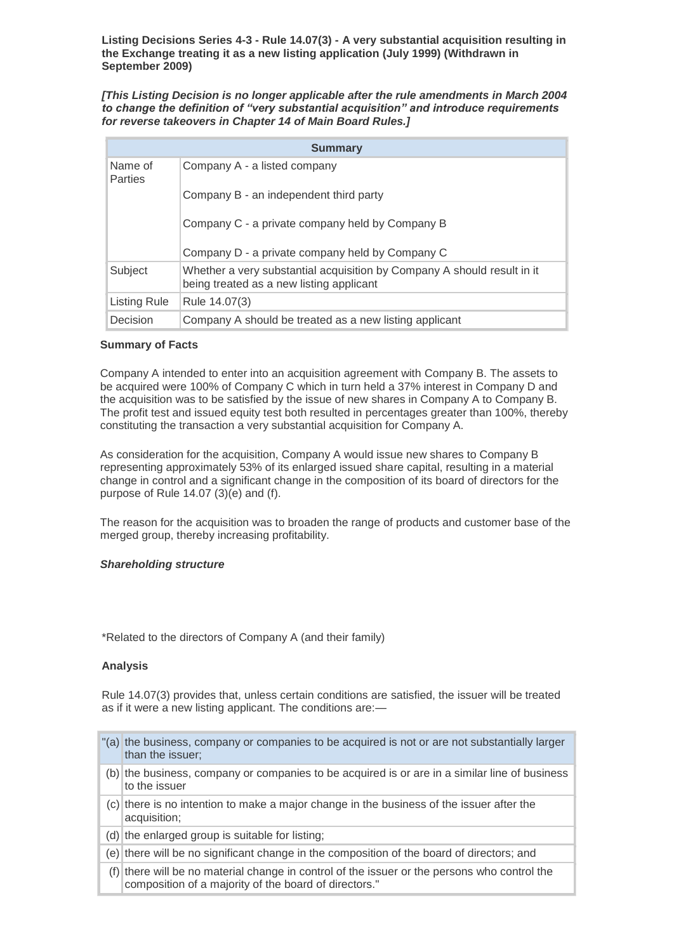**Listing Decisions Series 4-3 - Rule 14.07(3) - A very substantial acquisition resulting in the Exchange treating it as a new listing application (July 1999) (Withdrawn in September 2009)**

*[This Listing Decision is no longer applicable after the rule amendments in March 2004 to change the definition of "very substantial acquisition" and introduce requirements for reverse takeovers in Chapter 14 of Main Board Rules.]*

| <b>Summary</b>     |                                                                                                                     |
|--------------------|---------------------------------------------------------------------------------------------------------------------|
| Name of<br>Parties | Company A - a listed company                                                                                        |
|                    | Company B - an independent third party                                                                              |
|                    | Company C - a private company held by Company B                                                                     |
|                    | Company D - a private company held by Company C                                                                     |
| Subject            | Whether a very substantial acquisition by Company A should result in it<br>being treated as a new listing applicant |
| Listing Rule       | Rule 14.07(3)                                                                                                       |
| Decision           | Company A should be treated as a new listing applicant                                                              |

## **Summary of Facts**

Company A intended to enter into an acquisition agreement with Company B. The assets to be acquired were 100% of Company C which in turn held a 37% interest in Company D and the acquisition was to be satisfied by the issue of new shares in Company A to Company B. The profit test and issued equity test both resulted in percentages greater than 100%, thereby constituting the transaction a very substantial acquisition for Company A.

As consideration for the acquisition, Company A would issue new shares to Company B representing approximately 53% of its enlarged issued share capital, resulting in a material change in control and a significant change in the composition of its board of directors for the purpose of Rule 14.07 (3)(e) and (f).

The reason for the acquisition was to broaden the range of products and customer base of the merged group, thereby increasing profitability.

## *Shareholding structure*

\*Related to the directors of Company A (and their family)

## **Analysis**

Rule 14.07(3) provides that, unless certain conditions are satisfied, the issuer will be treated as if it were a new listing applicant. The conditions are:—

- "(a) the business, company or companies to be acquired is not or are not substantially larger than the issuer;  $(b)$  the business, company or companies to be acquired is or are in a similar line of business to the issuer (c) there is no intention to make a major change in the business of the issuer after the acquisition;  $(d)$  the enlarged group is suitable for listing; (e) there will be no significant change in the composition of the board of directors; and
	- (f) there will be no material change in control of the issuer or the persons who control the composition of a majority of the board of directors."